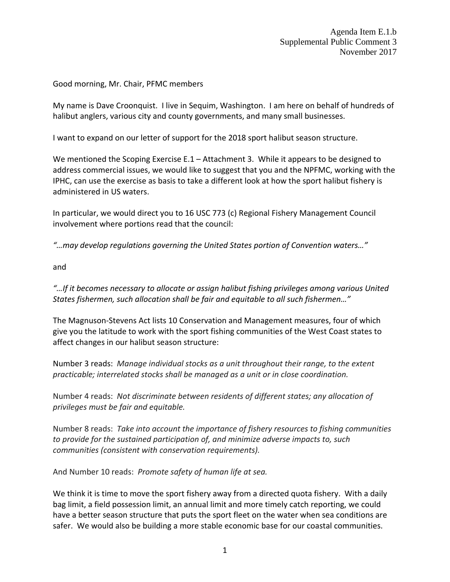Good morning, Mr. Chair, PFMC members

My name is Dave Croonquist. I live in Sequim, Washington. I am here on behalf of hundreds of halibut anglers, various city and county governments, and many small businesses.

I want to expand on our letter of support for the 2018 sport halibut season structure.

We mentioned the Scoping Exercise E.1 – Attachment 3. While it appears to be designed to address commercial issues, we would like to suggest that you and the NPFMC, working with the IPHC, can use the exercise as basis to take a different look at how the sport halibut fishery is administered in US waters.

In particular, we would direct you to 16 USC 773 (c) Regional Fishery Management Council involvement where portions read that the council:

*"…may develop regulations governing the United States portion of Convention waters…"*

and

*"…If it becomes necessary to allocate or assign halibut fishing privileges among various United States fishermen, such allocation shall be fair and equitable to all such fishermen…"*

The Magnuson-Stevens Act lists 10 Conservation and Management measures, four of which give you the latitude to work with the sport fishing communities of the West Coast states to affect changes in our halibut season structure:

Number 3 reads: *Manage individual stocks as a unit throughout their range, to the extent practicable; interrelated stocks shall be managed as a unit or in close coordination.*

Number 4 reads: *Not discriminate between residents of different states; any allocation of privileges must be fair and equitable.*

Number 8 reads: *Take into account the importance of fishery resources to fishing communities to provide for the sustained participation of, and minimize adverse impacts to, such communities (consistent with conservation requirements).*

And Number 10 reads: *Promote safety of human life at sea.*

We think it is time to move the sport fishery away from a directed quota fishery. With a daily bag limit, a field possession limit, an annual limit and more timely catch reporting, we could have a better season structure that puts the sport fleet on the water when sea conditions are safer. We would also be building a more stable economic base for our coastal communities.